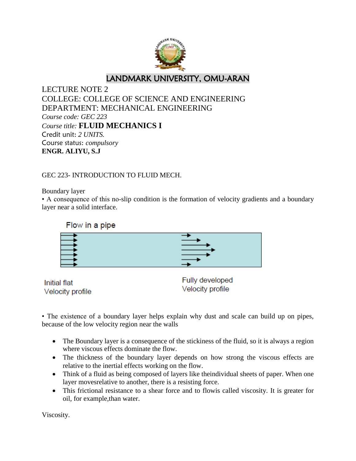

LECTURE NOTE 2 COLLEGE: COLLEGE OF SCIENCE AND ENGINEERING DEPARTMENT: MECHANICAL ENGINEERING *Course code: GEC 223 Course title:* **FLUID MECHANICS I** Credit unit: *2 UNITS.* Course status: *compulsory* **ENGR. ALIYU, S.J**

GEC 223- INTRODUCTION TO FLUID MECH.

Boundary layer

• A consequence of this no-slip condition is the formation of velocity gradients and a boundary layer near a solid interface.



Initial flat Velocity profile Fully developed Velocity profile

• The existence of a boundary layer helps explain why dust and scale can build up on pipes, because of the low velocity region near the walls

- The Boundary layer is a consequence of the stickiness of the fluid, so it is always a region where viscous effects dominate the flow.
- The thickness of the boundary layer depends on how strong the viscous effects are relative to the inertial effects working on the flow.
- Think of a fluid as being composed of layers like theindividual sheets of paper. When one layer movesrelative to another, there is a resisting force.
- This frictional resistance to a shear force and to flowis called viscosity. It is greater for oil, for example,than water.

Viscosity.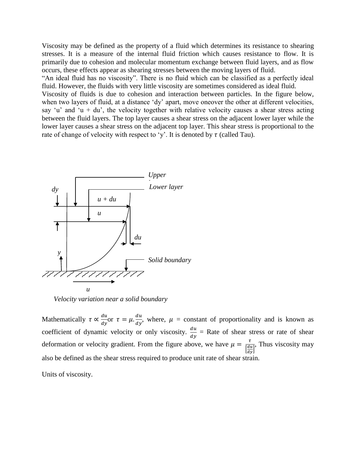Viscosity may be defined as the property of a fluid which determines its resistance to shearing stresses. It is a measure of the internal fluid friction which causes resistance to flow. It is primarily due to cohesion and molecular momentum exchange between fluid layers, and as flow occurs, these effects appear as shearing stresses between the moving layers of fluid.

"An ideal fluid has no viscosity". There is no fluid which can be classified as a perfectly ideal fluid. However, the fluids with very little viscosity are sometimes considered as ideal fluid.

Viscosity of fluids is due to cohesion and interaction between particles. In the figure below, when two layers of fluid, at a distance 'dy' apart, move oneover the other at different velocities, say 'u' and 'u + du', the velocity together with relative velocity causes a shear stress acting between the fluid layers. The top layer causes a shear stress on the adjacent lower layer while the lower layer causes a shear stress on the adjacent top layer. This shear stress is proportional to the rate of change of velocity with respect to 'y'. It is denoted by  $\tau$  (called Tau).



*Velocity variation near a solid boundary*

Mathematically  $\tau \propto \frac{d}{d\tau}$  $\frac{du}{dy}$ or  $\tau = \mu \cdot \frac{d}{d}$  $\frac{du}{dy}$ , where,  $\mu$  = constant of proportionality and is known as coefficient of dynamic velocity or only viscosity.  $\frac{du}{dy}$  = Rate of shear stress or rate of shear deformation or velocity gradient. From the figure above, we have  $\mu = \frac{\tau}{1}$  $\left[\frac{du}{dy}\right]$ , Thus viscosity may also be defined as the shear stress required to produce unit rate of shear strain.

Units of viscosity.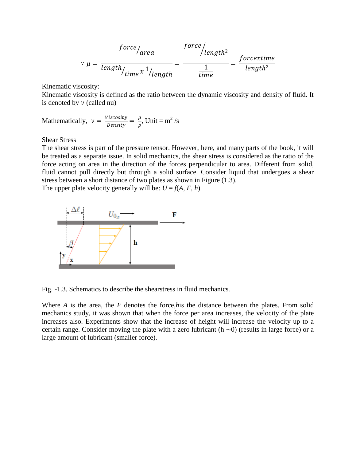$$
force / area
$$
  

$$
\therefore \mu = \frac{force / length^{2}}{length / time \times \frac{1}{length}} = \frac{force / length^{2}}{time} = \frac{force \times time}{length^{2}}
$$

Kinematic viscosity:

Kinematic viscosity is defined as the ratio between the dynamic viscosity and density of fluid. It is denoted by  $\nu$  (called nu)

Mathematically, 
$$
v = \frac{Viscosity}{Density} = \frac{\mu}{\rho}
$$
, Unit = m<sup>2</sup>/s

Shear Stress

The shear stress is part of the pressure tensor. However, here, and many parts of the book, it will be treated as a separate issue. In solid mechanics, the shear stress is considered as the ratio of the force acting on area in the direction of the forces perpendicular to area. Different from solid, fluid cannot pull directly but through a solid surface. Consider liquid that undergoes a shear stress between a short distance of two plates as shown in Figure (1.3). The upper plate velocity generally will be:  $U = f(A, F, h)$ 



Fig. -1.3. Schematics to describe the shearstress in fluid mechanics*.*

Where *A* is the area, the *F* denotes the force,*h*is the distance between the plates. From solid mechanics study, it was shown that when the force per area increases, the velocity of the plate increases also. Experiments show that the increase of height will increase the velocity up to a certain range. Consider moving the plate with a zero lubricant ( $h \sim 0$ ) (results in large force) or a large amount of lubricant (smaller force).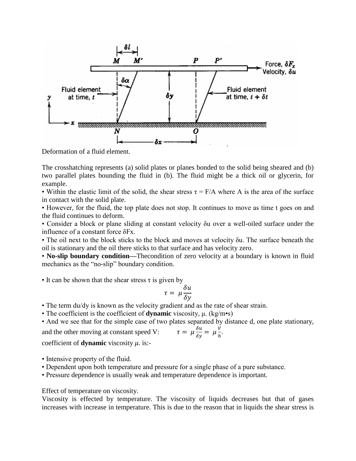

Deformation of a fluid element.

The crosshatching represents (a) solid plates or planes bonded to the solid being sheared and (b) two parallel plates bounding the fluid in (b). The fluid might be a thick oil or glycerin, for example.

• Within the elastic limit of the solid, the shear stress  $\tau = F/A$  where A is the area of the surface in contact with the solid plate.

• However, for the fluid, the top plate does not stop. It continues to move as time t goes on and the fluid continues to deform.

• Consider a block or plane sliding at constant velocity δu over a well-oiled surface under the influence of a constant force δFx.

• The oil next to the block sticks to the block and moves at velocity δu. The surface beneath the oil is stationary and the oil there sticks to that surface and has velocity zero.

• **No-slip boundary condition—**Thecondition of zero velocity at a boundary is known in fluid mechanics as the "no-slip" boundary condition.

• It can be shown that the shear stress  $\tau$  is given by

$$
\tau = \mu \frac{\delta u}{\delta y}
$$

• The term du/dy is known as the velocity gradient and as the rate of shear strain.

• The coefficient is the coefficient of **dynamic** viscosity, μ. (kg/m•s)

• And we see that for the simple case of two plates separated by distance d, one plate stationary, V

and the other moving at constant speed V:  $\tau = \mu \frac{\delta}{\epsilon}$ δ  $\frac{\nu}{h}$ .

coefficient of **dynamic** viscosity  $\mu$ . is:-

- Intensive property of the fluid.
- Dependent upon both temperature and pressure for a single phase of a pure substance.
- Pressure dependence is usually weak and temperature dependence is important.

Effect of temperature on viscosity.

Viscosity is effected by temperature. The viscosity of liquids decreases but that of gases increases with increase in temperature. This is due to the reason that in liquids the shear stress is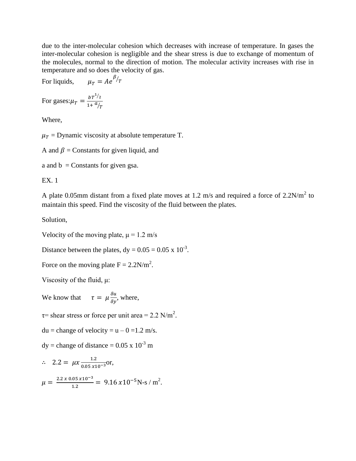due to the inter-molecular cohesion which decreases with increase of temperature. In gases the inter-molecular cohesion is negligible and the shear stress is due to exchange of momentum of the molecules, normal to the direction of motion. The molecular activity increases with rise in temperature and so does the velocity of gas.

For liquids,

For gases: $\mu_T = \frac{bT^{1/2}}{1 + \frac{a}{r}}$  $1+ \frac{a}{T}$ 

Where,

 $\mu_T$  = Dynamic viscosity at absolute temperature T.

 $\frac{\beta}{T}$ 

A and  $\beta$  = Constants for given liquid, and

a and  $b =$  Constants for given gsa.

EX. 1

A plate 0.05mm distant from a fixed plate moves at 1.2 m/s and required a force of  $2.2N/m<sup>2</sup>$  to maintain this speed. Find the viscosity of the fluid between the plates.

Solution,

Velocity of the moving plate,  $\mu = 1.2$  m/s

Distance between the plates,  $dy = 0.05 = 0.05 \times 10^{-3}$ .

Force on the moving plate  $F = 2.2 N/m^2$ .

Viscosity of the fluid, μ:

We know that  $\tau = \mu \frac{\delta u}{\delta y}$ , where,

 $\tau$ = shear stress or force per unit area = 2.2 N/m<sup>2</sup>.

 $du = change of velocity = u - 0 = 1.2 m/s.$ 

 $dy = change of distance = 0.05 \times 10^{-3}$  m

$$
\therefore 2.2 = \mu x \frac{1.2}{0.05 \times 10^{-3}} \text{or},
$$

$$
\mu = \frac{2.2 \times 0.05 \times 10^{-3}}{1.2} = 9.16 \times 10^{-5} \text{N-s} / \text{m}^2.
$$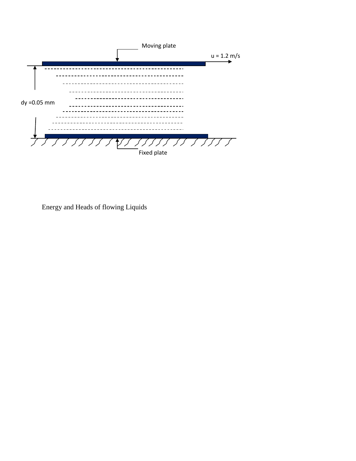

Energy and Heads of flowing Liquids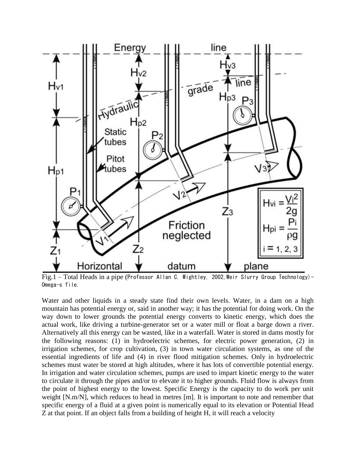

Fig.1 – Total Heads in a pipe (Professor Allan C. Wightley, 2002, Weir Slurry Group Technology) – Omega-s file.

Water and other liquids in a steady state find their own levels. Water, in a dam on a high mountain has potential energy or, said in another way; it has the potential for doing work. On the way down to lower grounds the potential energy converts to kinetic energy, which does the actual work, like driving a turbine-generator set or a water mill or float a barge down a river. Alternatively all this energy can be wasted, like in a waterfall. Water is stored in dams mostly for the following reasons: (1) in hydroelectric schemes, for electric power generation, (2) in irrigation schemes, for crop cultivation, (3) in town water circulation systems, as one of the essential ingredients of life and (4) in river flood mitigation schemes. Only in hydroelectric schemes must water be stored at high altitudes, where it has lots of convertible potential energy. In irrigation and water circulation schemes, pumps are used to impart kinetic energy to the water to circulate it through the pipes and/or to elevate it to higher grounds. Fluid flow is always from the point of highest energy to the lowest. Specific Energy is the capacity to do work per unit weight [N.m/N], which reduces to head in metres [m]. It is important to note and remember that specific energy of a fluid at a given point is numerically equal to its elevation or Potential Head Z at that point. If an object falls from a building of height H, it will reach a velocity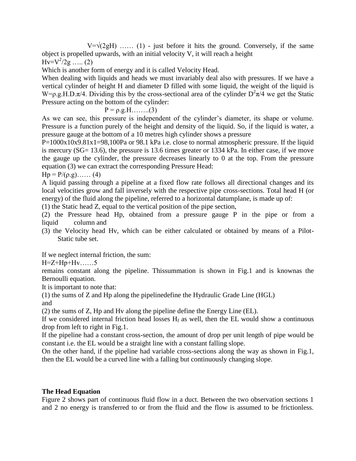$V=\sqrt{2gH}$  …… (1) - just before it hits the ground. Conversely, if the same object is propelled upwards, with an initial velocity V, it will reach a height  $Hv = V^2/2g$  ..... (2)

Which is another form of energy and it is called Velocity Head.

When dealing with liquids and heads we must invariably deal also with pressures. If we have a vertical cylinder of height H and diameter D filled with some liquid, the weight of the liquid is W= $\rho$ .g.H.D. $\pi/4$ . Dividing this by the cross-sectional area of the cylinder  $D^2 \pi \bar{A}$  we get the Static Pressure acting on the bottom of the cylinder:

$$
P = \rho.g.H.\ldots\dots(3)
$$

As we can see, this pressure is independent of the cylinder's diameter, its shape or volume. Pressure is a function purely of the height and density of the liquid. So, if the liquid is water, a pressure gauge at the bottom of a 10 metres high cylinder shows a pressure

P=1000x10x9.81x1=98,100Pa or 98.1 kPa i.e. close to normal atmospheric pressure. If the liquid is mercury (SG= 13.6), the pressure is 13.6 times greater or 1334 kPa. In either case, if we move the gauge up the cylinder, the pressure decreases linearly to 0 at the top. From the pressure equation (3) we can extract the corresponding Pressure Head:

 $Hp = P/(\rho.g) \dots (4)$ 

A liquid passing through a pipeline at a fixed flow rate follows all directional changes and its local velocities grow and fall inversely with the respective pipe cross-sections. Total head H (or energy) of the fluid along the pipeline, referred to a horizontal datumplane, is made up of:

(1) the Static head Z, equal to the vertical position of the pipe section,

(2) the Pressure head Hp, obtained from a pressure gauge P in the pipe or from a liquid column and

(3) the Velocity head Hv, which can be either calculated or obtained by means of a Pilot- Static tube set.

If we neglect internal friction, the sum:

 $H = Z + Hp + Hv \dots 5$ 

remains constant along the pipeline. Thissummation is shown in Fig.1 and is knownas the Bernoulli equation.

It is important to note that:

(1) the sums of Z and Hp along the pipelinedefine the Hydraulic Grade Line (HGL) and

(2) the sums of Z, Hp and Hv along the pipeline define the Energy Line (EL).

If we considered internal friction head losses  $H_f$  as well, then the EL would show a continuous drop from left to right in Fig.1.

If the pipeline had a constant cross-section, the amount of drop per unit length of pipe would be constant i.e. the EL would be a straight line with a constant falling slope.

On the other hand, if the pipeline had variable cross-sections along the way as shown in Fig.1, then the EL would be a curved line with a falling but continuously changing slope.

## **The Head Equation**

Figure 2 shows part of continuous fluid flow in a duct. Between the two observation sections 1 and 2 no energy is transferred to or from the fluid and the flow is assumed to be frictionless.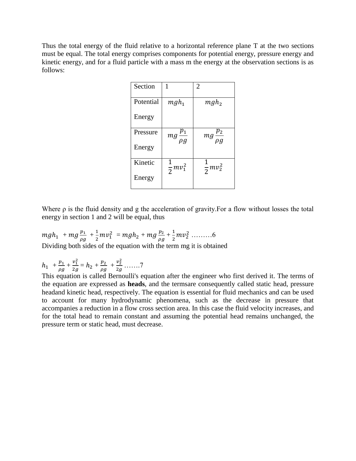Thus the total energy of the fluid relative to a horizontal reference plane T at the two sections must be equal. The total energy comprises components for potential energy, pressure energy and kinetic energy, and for a fluid particle with a mass m the energy at the observation sections is as follows:

| Section   |                        | $\overline{2}$                    |
|-----------|------------------------|-----------------------------------|
| Potential | $mgh_1$                | $mgh_2$                           |
| Energy    |                        |                                   |
| Pressure  | $mg\frac{p_1}{\rho g}$ | $\overline{mg\frac{p_2}{\rho g}}$ |
| Energy    |                        |                                   |
| Kinetic   | $\frac{1}{2}mv_1^2$    | $\frac{1}{2}mv_2^2$               |
| Energy    |                        |                                   |

Where ρ is the fluid density and g the acceleration of gravity.For a flow without losses the total energy in section 1 and 2 will be equal, thus

 $mgh_1 + mg\frac{p}{2}$  $\frac{p_1}{\rho g} + \frac{1}{2}$  $\frac{1}{2}mv_1^2$  =  $mgh_2$  +  $mg\frac{p}{\rho_c}$  $\frac{p_2}{\rho g} + \frac{1}{2}$  $\frac{1}{2}mv_2^2$  .........6 Dividing both sides of the equation with the term mg it is obtained

 $h_1 + \frac{p}{q}$  $\frac{p_1}{\rho g} + \frac{v_1^2}{2g}$  $\frac{v_1^2}{2g} = h_2 + \frac{p}{\rho}$  $\frac{p_2}{\rho g} + \frac{v_2^2}{2g}$  $rac{v_2}{2g}$  .......7

This equation is called Bernoulli's equation after the engineer who first derived it. The terms of the equation are expressed as **heads**, and the termsare consequently called static head, pressure headand kinetic head, respectively. The equation is essential for fluid mechanics and can be used to account for many hydrodynamic phenomena, such as the decrease in pressure that accompanies a reduction in a flow cross section area. In this case the fluid velocity increases, and for the total head to remain constant and assuming the potential head remains unchanged, the pressure term or static head, must decrease.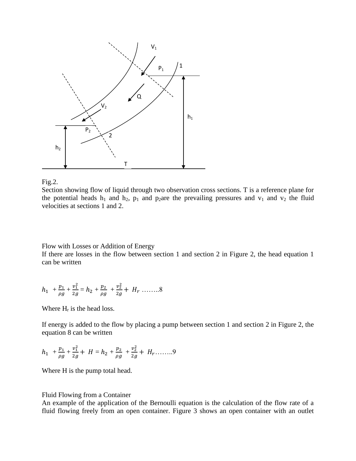



Section showing flow of liquid through two observation cross sections. T is a reference plane for the potential heads  $h_1$  and  $h_2$ ,  $p_1$  and  $p_2$ are the prevailing pressures and  $v_1$  and  $v_2$  the fluid velocities at sections 1 and 2.

Flow with Losses or Addition of Energy

If there are losses in the flow between section 1 and section 2 in Figure 2, the head equation 1 can be written

$$
h_1 + \frac{p_1}{\rho g} + \frac{v_1^2}{2g} = h_2 + \frac{p_2}{\rho g} + \frac{v_2^2}{2g} + H_r \dots \dots 8
$$

Where  $H_r$  is the head loss.

If energy is added to the flow by placing a pump between section 1 and section 2 in Figure 2, the equation 8 can be written

$$
h_1 + \frac{p_1}{\rho g} + \frac{v_1^2}{2g} + H = h_2 + \frac{p_2}{\rho g} + \frac{v_2^2}{2g} + H_r \dots
$$

Where H is the pump total head.

## Fluid Flowing from a Container

An example of the application of the Bernoulli equation is the calculation of the flow rate of a fluid flowing freely from an open container. Figure 3 shows an open container with an outlet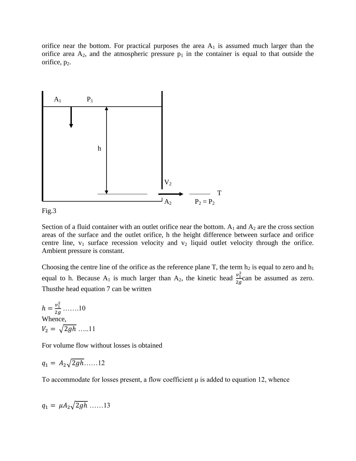orifice near the bottom. For practical purposes the area  $A_1$  is assumed much larger than the orifice area  $A_2$ , and the atmospheric pressure  $p_1$  in the container is equal to that outside the orifice,  $p_2$ .



Fig.3

Section of a fluid container with an outlet orifice near the bottom.  $A_1$  and  $A_2$  are the cross section areas of the surface and the outlet orifice, h the height difference between surface and orifice centre line,  $v_1$  surface recession velocity and  $v_2$  liquid outlet velocity through the orifice. Ambient pressure is constant.

Choosing the centre line of the orifice as the reference plane T, the term  $h_2$  is equal to zero and  $h_1$ equal to h. Because A<sub>1</sub> is much larger than A<sub>2</sub>, the kinetic head  $\frac{v_1^2}{2}$  $\frac{\nu_1}{2g}$ can be assumed as zero. Thusthe head equation 7 can be written

 $h = \frac{v_1^2}{2g}$  $rac{v_1}{2g}$  .......10 Whence,  $V_2 = \sqrt{2gh}$  …..11

For volume flow without losses is obtained

$$
q_1 = A_2 \sqrt{2gh} \dots 12
$$

To accommodate for losses present, a flow coefficient  $\mu$  is added to equation 12, whence

$$
q_1 = \mu A_2 \sqrt{2gh} \dots 13
$$